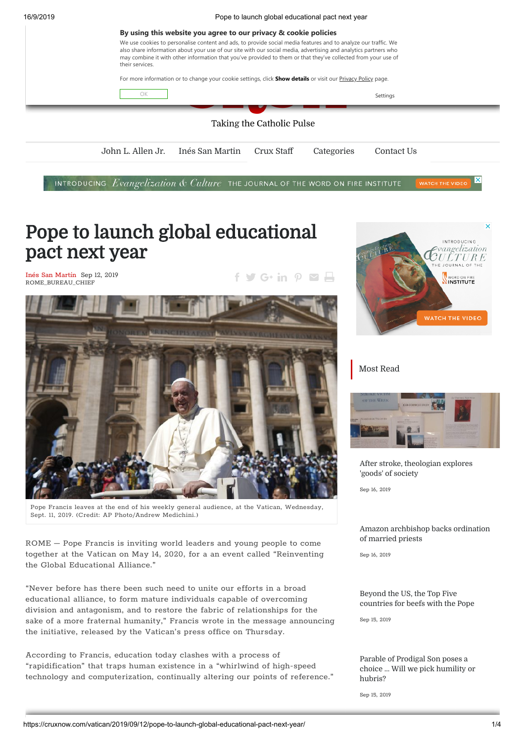16/9/2019 Pope to launch global educational pact next year



INTRODUCING Evangelization & Culture THE JOURNAL OF THE WORD ON FIRE INSTITUTE WATCH THE VIDE

# Pope to launch global educational pact next year

Inés San [Martín](https://cruxnow.com/author/ines-sanmartin/) Sep 12, 2019 ROME\_BUREAU\_CHIEF

 $f \circ G$  in  $P \circ G$ 



Pope Francis leaves at the end of his weekly general audience, at the Vatican, Wednesday, Sept. 11, 2019. (Credit: AP Photo/Andrew Medichini.)

ROME – Pope Francis is inviting world leaders and young people to come together at the Vatican on May 14, 2020, for a an event called "Reinventing the Global Educational Alliance."

"Never before has there been such need to unite our efforts in a broad educational alliance, to form mature individuals capable of overcoming division and antagonism, and to restore the fabric of relationships for the sake of a more fraternal humanity," Francis wrote in the message announcing the initiative, released by the Vatican's press office on Thursday.

According to Francis, education today clashes with a process of "rapidification" that traps human existence in a "whirlwind of high-speed technology and computerization, continually altering our points of reference."



### Most Read



After stroke, [theologian](https://cruxnow.com/interviews/2019/09/16/after-stroke-theologian-explores-goods-of-society/) explores 'goods' of society

Sep 16, 2019

#### Amazon [archbishop](https://cruxnow.com/amazon-synod/2019/09/16/amazon-archbishop-backs-ordination-of-married-priests/) backs ordination of married priests

Sep 16, 2019

Beyond the US, the Top Five [countries](https://cruxnow.com/news-analysis/2019/09/15/beyond-the-us-the-top-five-countries-for-beefs-with-the-pope/) for beefs with the Pope

Sep 15, 2019

Parable of Prodigal Son poses a choice ... Will we pick [humility](https://cruxnow.com/commentary/2019/09/15/parable-of-prodigal-son-poses-a-choice-will-we-pick-humility-or-hubris/) or hubris?

Sep 15, 2019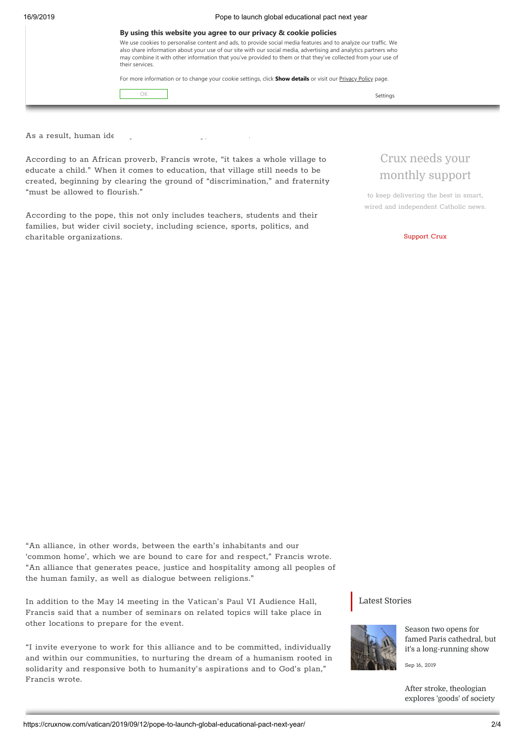| 16/9/2019 |  |  |
|-----------|--|--|
|           |  |  |

Pope to launch global educational pact next year

|                 | By using this website you agree to our privacy & cookie policies                                                                                                                                                                                                                                                                                   |  |  |
|-----------------|----------------------------------------------------------------------------------------------------------------------------------------------------------------------------------------------------------------------------------------------------------------------------------------------------------------------------------------------------|--|--|
| their services. | We use cookies to personalise content and ads, to provide social media features and to analyze our traffic. We<br>also share information about your use of our site with our social media, advertising and analytics partners who<br>may combine it with other information that you've provided to them or that they've collected from your use of |  |  |
|                 | For more information or to change your cookie settings, click <b>Show details</b> or visit our <b>Privacy Policy page.</b>                                                                                                                                                                                                                         |  |  |
|                 | Settings                                                                                                                                                                                                                                                                                                                                           |  |  |
|                 |                                                                                                                                                                                                                                                                                                                                                    |  |  |

As a result, human id $\epsilon$ 

According to an African proverb, Francis wrote, "it takes a whole village to educate a child." When it comes to education, that village still needs to be created, beginning by clearing the ground of "discrimination," and fraternity "must be allowed to flourish."

According to the pope, this not only includes teachers, students and their families, but wider civil society, including science, sports, politics, and charitable organizations.

## Crux needs your monthly support

to keep delivering the best in smart, wired and independent Catholic news.

[Support](https://cruxnow.com/support-crux/) Crux

"An alliance, in other words, between the earth's inhabitants and our 'common home', which we are bound to care for and respect," Francis wrote. "An alliance that generates peace, justice and hospitality among all peoples of the human family, as well as dialogue between religions."

In addition to the May 14 meeting in the Vatican's Paul VI Audience Hall, Francis said that a number of seminars on related topics will take place in other locations to prepare for the event.

"I invite everyone to work for this alliance and to be committed, individually and within our communities, to nurturing the dream of a humanism rooted in solidarity and responsive both to humanity's aspirations and to God's plan," Francis wrote.

### Latest Stories



Season two opens for famed Paris cathedral, but it's a [long-running](https://cruxnow.com/notre-dame-cathedral-fire/2019/09/16/season-two-opens-for-famed-paris-cathedral-but-its-a-long-running-show/) show

Sep 16, 2019

After stroke, [theologian](https://cruxnow.com/interviews/2019/09/16/after-stroke-theologian-explores-goods-of-society/) explores 'goods' of society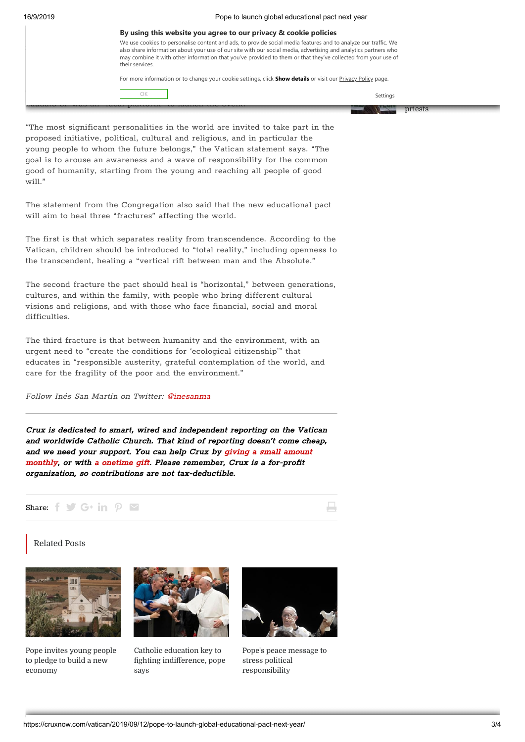| By using this website you agree to our privacy & cookie policies                                                                                                                                                                                                                                                                                                      |          |  |
|-----------------------------------------------------------------------------------------------------------------------------------------------------------------------------------------------------------------------------------------------------------------------------------------------------------------------------------------------------------------------|----------|--|
| We use cookies to personalise content and ads, to provide social media features and to analyze our traffic. We<br>also share information about your use of our site with our social media, advertising and analytics partners who<br>may combine it with other information that you've provided to them or that they've collected from your use of<br>their services. |          |  |
| For more information or to change your cookie settings, click <b>Show details</b> or visit our <b>Privacy Policy page.</b>                                                                                                                                                                                                                                            |          |  |
| ΩK                                                                                                                                                                                                                                                                                                                                                                    | Settings |  |
|                                                                                                                                                                                                                                                                                                                                                                       | priests  |  |

"The most significant personalities in the world are invited to take part in the proposed initiative, political, cultural and religious, and in particular the young people to whom the future belongs," the Vatican statement says. "The goal is to arouse an awareness and a wave of responsibility for the common good of humanity, starting from the young and reaching all people of good will."

The statement from the Congregation also said that the new educational pact will aim to heal three "fractures" affecting the world.

The first is that which separates reality from transcendence. According to the Vatican, children should be introduced to "total reality," including openness to the transcendent, healing a "vertical rift between man and the Absolute."

The second fracture the pact should heal is "horizontal," between generations, cultures, and within the family, with people who bring different cultural visions and religions, and with those who face financial, social and moral difficulties.

The third fracture is that between humanity and the environment, with an urgent need to "create the conditions for 'ecological citizenship'" that educates in "responsible austerity, grateful contemplation of the world, and care for the fragility of the poor and the environment."

Follow Inés San Martín on Twitter: [@inesanma](https://twitter.com/inesanma)

Crux is dedicated to smart, wired and independent reporting on the Vatican and worldwide Catholic Church. That kind of reporting doesn't come cheap, and we need your support. You can help Crux by giving <sup>a</sup> small amount monthly, or with <sup>a</sup> [onetime](https://cruxnow.com/support-crux/#1526988863600-2-9) gift. Please [remember,](https://cruxnow.com/support-crux/#monthly) Crux is <sup>a</sup> for-profit organization, so contributions are not tax-deductible.

#### Share:  $f \vee f$  G+ in  $\rho \vee f$

#### Related Posts



Pope invites young people to pledge to build a new [economy](https://cruxnow.com/vatican/2019/05/13/pope-invites-young-people-to-pledge-to-build-a-new-economy/)



Catholic education key to fighting indifference, pope says



ш

Pope's peace message to stress political [responsibility](https://cruxnow.com/vatican/2018/11/06/popes-peace-message-to-stress-political-responsibility/)